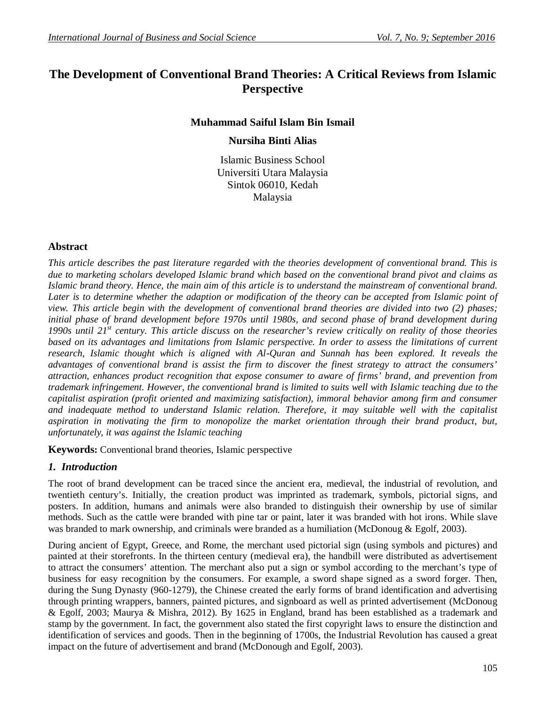# **The Development of Conventional Brand Theories: A Critical Reviews from Islamic Perspective**

# **Muhammad Saiful Islam Bin Ismail**

## **Nursiha Binti Alias**

Islamic Business School Universiti Utara Malaysia Sintok 06010, Kedah Malaysia

# **Abstract**

*This article describes the past literature regarded with the theories development of conventional brand. This is due to marketing scholars developed Islamic brand which based on the conventional brand pivot and claims as Islamic brand theory. Hence, the main aim of this article is to understand the mainstream of conventional brand. Later is to determine whether the adaption or modification of the theory can be accepted from Islamic point of view. This article begin with the development of conventional brand theories are divided into two (2) phases; initial phase of brand development before 1970s until 1980s, and second phase of brand development during 1990s until 21st century. This article discuss on the researcher's review critically on reality of those theories based on its advantages and limitations from Islamic perspective. In order to assess the limitations of current research, Islamic thought which is aligned with Al-Quran and Sunnah has been explored. It reveals the advantages of conventional brand is assist the firm to discover the finest strategy to attract the consumers' attraction, enhances product recognition that expose consumer to aware of firms' brand, and prevention from trademark infringement. However, the conventional brand is limited to suits well with Islamic teaching due to the capitalist aspiration (profit oriented and maximizing satisfaction), immoral behavior among firm and consumer and inadequate method to understand Islamic relation. Therefore, it may suitable well with the capitalist aspiration in motivating the firm to monopolize the market orientation through their brand product, but, unfortunately, it was against the Islamic teaching*

**Keywords:** Conventional brand theories, Islamic perspective

# *1. Introduction*

The root of brand development can be traced since the ancient era, medieval, the industrial of revolution, and twentieth century's. Initially, the creation product was imprinted as trademark, symbols, pictorial signs, and posters. In addition, humans and animals were also branded to distinguish their ownership by use of similar methods. Such as the cattle were branded with pine tar or paint, later it was branded with hot irons. While slave was branded to mark ownership, and criminals were branded as a humiliation (McDonoug & Egolf, 2003).

During ancient of Egypt, Greece, and Rome, the merchant used pictorial sign (using symbols and pictures) and painted at their storefronts. In the thirteen century (medieval era), the handbill were distributed as advertisement to attract the consumers' attention. The merchant also put a sign or symbol according to the merchant's type of business for easy recognition by the consumers. For example, a sword shape signed as a sword forger. Then, during the Sung Dynasty (960-1279), the Chinese created the early forms of brand identification and advertising through printing wrappers, banners, painted pictures, and signboard as well as printed advertisement (McDonoug & Egolf, 2003; Maurya & Mishra, 2012). By 1625 in England, brand has been established as a trademark and stamp by the government. In fact, the government also stated the first copyright laws to ensure the distinction and identification of services and goods. Then in the beginning of 1700s, the Industrial Revolution has caused a great impact on the future of advertisement and brand (McDonough and Egolf, 2003).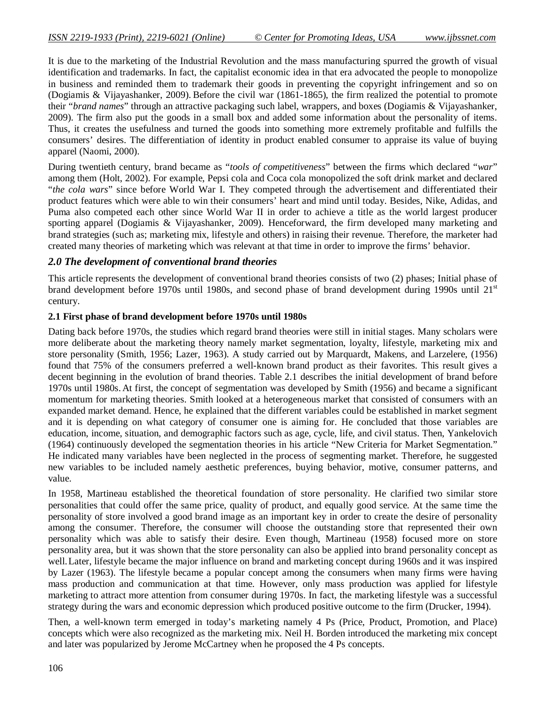It is due to the marketing of the Industrial Revolution and the mass manufacturing spurred the growth of visual identification and trademarks. In fact, the capitalist economic idea in that era advocated the people to monopolize in business and reminded them to trademark their goods in preventing the copyright infringement and so on (Dogiamis & Vijayashanker, 2009). Before the civil war (1861-1865), the firm realized the potential to promote their "*brand names*" through an attractive packaging such label, wrappers, and boxes (Dogiamis & Vijayashanker, 2009). The firm also put the goods in a small box and added some information about the personality of items. Thus, it creates the usefulness and turned the goods into something more extremely profitable and fulfills the consumers' desires. The differentiation of identity in product enabled consumer to appraise its value of buying apparel (Naomi, 2000).

During twentieth century, brand became as "*tools of competitiveness*" between the firms which declared "*war*" among them (Holt, 2002). For example, Pepsi cola and Coca cola monopolized the soft drink market and declared "*the cola wars*" since before World War I. They competed through the advertisement and differentiated their product features which were able to win their consumers' heart and mind until today. Besides, Nike, Adidas, and Puma also competed each other since World War II in order to achieve a title as the world largest producer sporting apparel (Dogiamis & Vijayashanker, 2009). Henceforward, the firm developed many marketing and brand strategies (such as; marketing mix, lifestyle and others) in raising their revenue. Therefore, the marketer had created many theories of marketing which was relevant at that time in order to improve the firms' behavior.

## *2.0 The development of conventional brand theories*

This article represents the development of conventional brand theories consists of two (2) phases; Initial phase of brand development before 1970s until 1980s, and second phase of brand development during 1990s until 21<sup>st</sup> century.

#### **2.1 First phase of brand development before 1970s until 1980s**

Dating back before 1970s, the studies which regard brand theories were still in initial stages. Many scholars were more deliberate about the marketing theory namely market segmentation, loyalty, lifestyle, marketing mix and store personality (Smith, 1956; Lazer, 1963). A study carried out by Marquardt, Makens, and Larzelere, (1956) found that 75% of the consumers preferred a well-known brand product as their favorites. This result gives a decent beginning in the evolution of brand theories. Table 2.1 describes the initial development of brand before 1970s until 1980s.At first, the concept of segmentation was developed by Smith (1956) and became a significant momentum for marketing theories. Smith looked at a heterogeneous market that consisted of consumers with an expanded market demand. Hence, he explained that the different variables could be established in market segment and it is depending on what category of consumer one is aiming for. He concluded that those variables are education, income, situation, and demographic factors such as age, cycle, life, and civil status. Then, Yankelovich (1964) continuously developed the segmentation theories in his article "New Criteria for Market Segmentation." He indicated many variables have been neglected in the process of segmenting market. Therefore, he suggested new variables to be included namely aesthetic preferences, buying behavior, motive, consumer patterns, and value.

In 1958, Martineau established the theoretical foundation of store personality. He clarified two similar store personalities that could offer the same price, quality of product, and equally good service. At the same time the personality of store involved a good brand image as an important key in order to create the desire of personality among the consumer. Therefore, the consumer will choose the outstanding store that represented their own personality which was able to satisfy their desire. Even though, Martineau (1958) focused more on store personality area, but it was shown that the store personality can also be applied into brand personality concept as well.Later, lifestyle became the major influence on brand and marketing concept during 1960s and it was inspired by Lazer (1963). The lifestyle became a popular concept among the consumers when many firms were having mass production and communication at that time. However, only mass production was applied for lifestyle marketing to attract more attention from consumer during 1970s. In fact, the marketing lifestyle was a successful strategy during the wars and economic depression which produced positive outcome to the firm (Drucker, 1994).

Then, a well-known term emerged in today's marketing namely 4 Ps (Price, Product, Promotion, and Place) concepts which were also recognized as the marketing mix. Neil H. Borden introduced the marketing mix concept and later was popularized by Jerome McCartney when he proposed the 4 Ps concepts.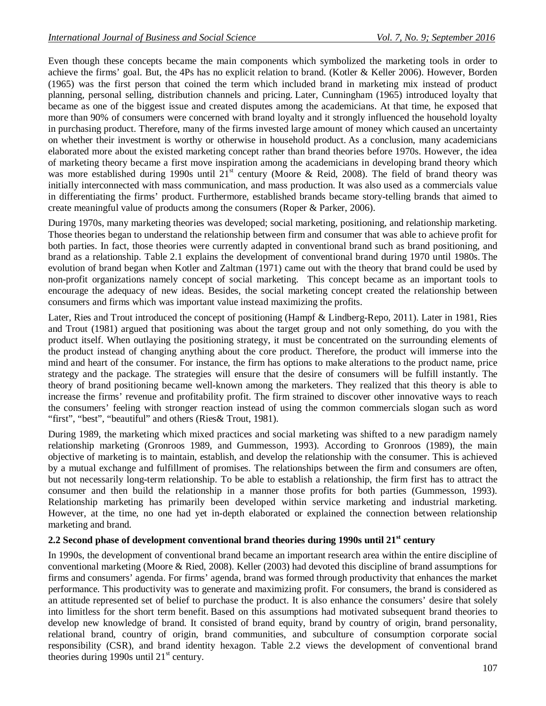Even though these concepts became the main components which symbolized the marketing tools in order to achieve the firms' goal. But, the 4Ps has no explicit relation to brand. (Kotler & Keller 2006). However, Borden (1965) was the first person that coined the term which included brand in marketing mix instead of product planning, personal selling, distribution channels and pricing. Later, Cunningham (1965) introduced loyalty that became as one of the biggest issue and created disputes among the academicians. At that time, he exposed that more than 90% of consumers were concerned with brand loyalty and it strongly influenced the household loyalty in purchasing product. Therefore, many of the firms invested large amount of money which caused an uncertainty on whether their investment is worthy or otherwise in household product. As a conclusion, many academicians elaborated more about the existed marketing concept rather than brand theories before 1970s. However, the idea of marketing theory became a first move inspiration among the academicians in developing brand theory which was more established during 1990s until  $21^{st}$  century (Moore & Reid, 2008). The field of brand theory was initially interconnected with mass communication, and mass production. It was also used as a commercials value in differentiating the firms' product. Furthermore, established brands became story-telling brands that aimed to create meaningful value of products among the consumers (Roper & Parker, 2006).

During 1970s, many marketing theories was developed; social marketing, positioning, and relationship marketing. Those theories began to understand the relationship between firm and consumer that was able to achieve profit for both parties. In fact, those theories were currently adapted in conventional brand such as brand positioning, and brand as a relationship. Table 2.1 explains the development of conventional brand during 1970 until 1980s. The evolution of brand began when Kotler and Zaltman (1971) came out with the theory that brand could be used by non-profit organizations namely concept of social marketing. This concept became as an important tools to encourage the adequacy of new ideas. Besides, the social marketing concept created the relationship between consumers and firms which was important value instead maximizing the profits.

Later, Ries and Trout introduced the concept of positioning (Hampf & Lindberg-Repo, 2011). Later in 1981, Ries and Trout (1981) argued that positioning was about the target group and not only something, do you with the product itself. When outlaying the positioning strategy, it must be concentrated on the surrounding elements of the product instead of changing anything about the core product. Therefore, the product will immerse into the mind and heart of the consumer. For instance, the firm has options to make alterations to the product name, price strategy and the package. The strategies will ensure that the desire of consumers will be fulfill instantly. The theory of brand positioning became well-known among the marketers. They realized that this theory is able to increase the firms' revenue and profitability profit. The firm strained to discover other innovative ways to reach the consumers' feeling with stronger reaction instead of using the common commercials slogan such as word "first", "best", "beautiful" and others (Ries& Trout, 1981).

During 1989, the marketing which mixed practices and social marketing was shifted to a new paradigm namely relationship marketing (Gronroos 1989, and Gummesson, 1993). According to Gronroos (1989), the main objective of marketing is to maintain, establish, and develop the relationship with the consumer. This is achieved by a mutual exchange and fulfillment of promises. The relationships between the firm and consumers are often, but not necessarily long-term relationship. To be able to establish a relationship, the firm first has to attract the consumer and then build the relationship in a manner those profits for both parties (Gummesson, 1993). Relationship marketing has primarily been developed within service marketing and industrial marketing. However, at the time, no one had yet in-depth elaborated or explained the connection between relationship marketing and brand.

## **2.2 Second phase of development conventional brand theories during 1990s until 21st century**

In 1990s, the development of conventional brand became an important research area within the entire discipline of conventional marketing (Moore & Ried, 2008). Keller (2003) had devoted this discipline of brand assumptions for firms and consumers' agenda. For firms' agenda, brand was formed through productivity that enhances the market performance. This productivity was to generate and maximizing profit. For consumers, the brand is considered as an attitude represented set of belief to purchase the product. It is also enhance the consumers' desire that solely into limitless for the short term benefit. Based on this assumptions had motivated subsequent brand theories to develop new knowledge of brand. It consisted of brand equity, brand by country of origin, brand personality, relational brand, country of origin, brand communities, and subculture of consumption corporate social responsibility (CSR), and brand identity hexagon. Table 2.2 views the development of conventional brand theories during 1990s until  $21<sup>st</sup>$  century.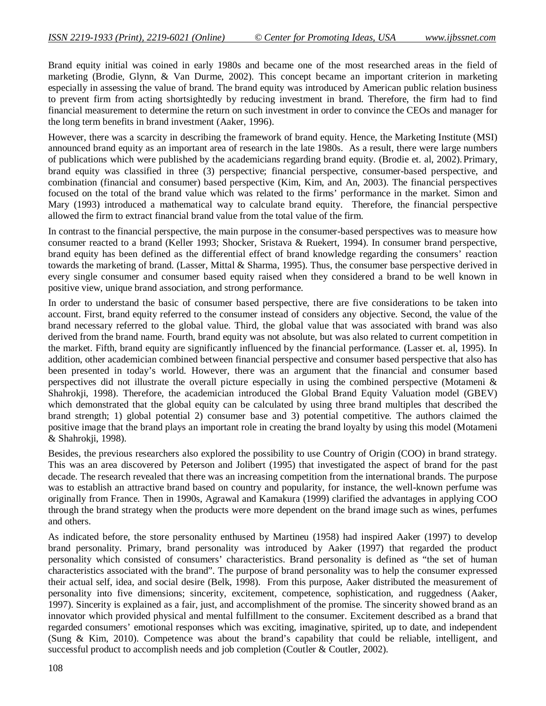Brand equity initial was coined in early 1980s and became one of the most researched areas in the field of marketing (Brodie, Glynn, & Van Durme, 2002). This concept became an important criterion in marketing especially in assessing the value of brand. The brand equity was introduced by American public relation business to prevent firm from acting shortsightedly by reducing investment in brand. Therefore, the firm had to find financial measurement to determine the return on such investment in order to convince the CEOs and manager for the long term benefits in brand investment (Aaker, 1996).

However, there was a scarcity in describing the framework of brand equity. Hence, the Marketing Institute (MSI) announced brand equity as an important area of research in the late 1980s. As a result, there were large numbers of publications which were published by the academicians regarding brand equity. (Brodie et. al, 2002).Primary, brand equity was classified in three (3) perspective; financial perspective, consumer-based perspective, and combination (financial and consumer) based perspective (Kim, Kim, and An, 2003). The financial perspectives focused on the total of the brand value which was related to the firms' performance in the market. Simon and Mary (1993) introduced a mathematical way to calculate brand equity. Therefore, the financial perspective allowed the firm to extract financial brand value from the total value of the firm.

In contrast to the financial perspective, the main purpose in the consumer-based perspectives was to measure how consumer reacted to a brand (Keller 1993; Shocker, Sristava & Ruekert, 1994). In consumer brand perspective, brand equity has been defined as the differential effect of brand knowledge regarding the consumers' reaction towards the marketing of brand. (Lasser, Mittal & Sharma, 1995). Thus, the consumer base perspective derived in every single consumer and consumer based equity raised when they considered a brand to be well known in positive view, unique brand association, and strong performance.

In order to understand the basic of consumer based perspective, there are five considerations to be taken into account. First, brand equity referred to the consumer instead of considers any objective. Second, the value of the brand necessary referred to the global value. Third, the global value that was associated with brand was also derived from the brand name. Fourth, brand equity was not absolute, but was also related to current competition in the market. Fifth, brand equity are significantly influenced by the financial performance. (Lasser et. al, 1995). In addition, other academician combined between financial perspective and consumer based perspective that also has been presented in today's world. However, there was an argument that the financial and consumer based perspectives did not illustrate the overall picture especially in using the combined perspective (Motameni & Shahrokji, 1998). Therefore, the academician introduced the Global Brand Equity Valuation model (GBEV) which demonstrated that the global equity can be calculated by using three brand multiples that described the brand strength; 1) global potential 2) consumer base and 3) potential competitive. The authors claimed the positive image that the brand plays an important role in creating the brand loyalty by using this model (Motameni & Shahrokji, 1998).

Besides, the previous researchers also explored the possibility to use Country of Origin (COO) in brand strategy. This was an area discovered by Peterson and Jolibert (1995) that investigated the aspect of brand for the past decade. The research revealed that there was an increasing competition from the international brands. The purpose was to establish an attractive brand based on country and popularity, for instance, the well-known perfume was originally from France. Then in 1990s, Agrawal and Kamakura (1999) clarified the advantages in applying COO through the brand strategy when the products were more dependent on the brand image such as wines, perfumes and others.

As indicated before, the store personality enthused by Martineu (1958) had inspired Aaker (1997) to develop brand personality. Primary, brand personality was introduced by Aaker (1997) that regarded the product personality which consisted of consumers' characteristics. Brand personality is defined as "the set of human characteristics associated with the brand". The purpose of brand personality was to help the consumer expressed their actual self, idea, and social desire (Belk, 1998). From this purpose, Aaker distributed the measurement of personality into five dimensions; sincerity, excitement, competence, sophistication, and ruggedness (Aaker, 1997). Sincerity is explained as a fair, just, and accomplishment of the promise. The sincerity showed brand as an innovator which provided physical and mental fulfillment to the consumer. Excitement described as a brand that regarded consumers' emotional responses which was exciting, imaginative, spirited, up to date, and independent (Sung & Kim, 2010). Competence was about the brand's capability that could be reliable, intelligent, and successful product to accomplish needs and job completion (Coutler & Coutler, 2002).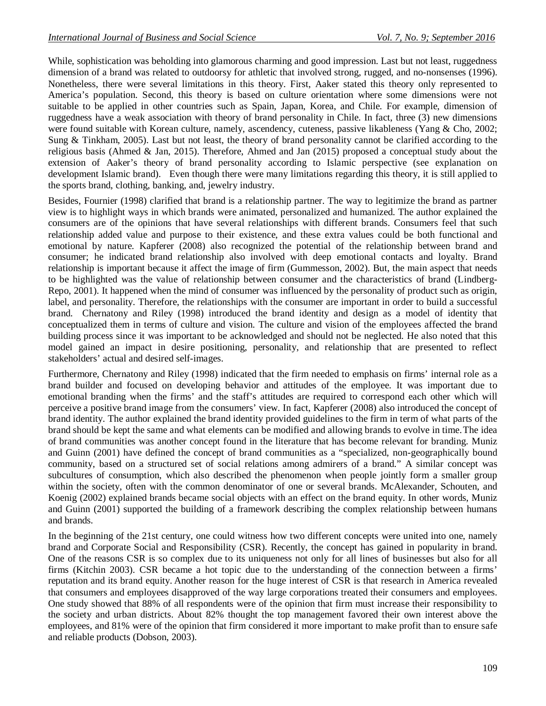While, sophistication was beholding into glamorous charming and good impression. Last but not least, ruggedness dimension of a brand was related to outdoorsy for athletic that involved strong, rugged, and no-nonsenses (1996). Nonetheless, there were several limitations in this theory. First, Aaker stated this theory only represented to America's population. Second, this theory is based on culture orientation where some dimensions were not suitable to be applied in other countries such as Spain, Japan, Korea, and Chile. For example, dimension of ruggedness have a weak association with theory of brand personality in Chile. In fact, three (3) new dimensions were found suitable with Korean culture, namely, ascendency, cuteness, passive likableness (Yang & Cho, 2002; Sung & Tinkham, 2005). Last but not least, the theory of brand personality cannot be clarified according to the religious basis (Ahmed & Jan, 2015). Therefore, Ahmed and Jan (2015) proposed a conceptual study about the extension of Aaker's theory of brand personality according to Islamic perspective (see explanation on development Islamic brand). Even though there were many limitations regarding this theory, it is still applied to the sports brand, clothing, banking, and, jewelry industry.

Besides, Fournier (1998) clarified that brand is a relationship partner. The way to legitimize the brand as partner view is to highlight ways in which brands were animated, personalized and humanized. The author explained the consumers are of the opinions that have several relationships with different brands. Consumers feel that such relationship added value and purpose to their existence, and these extra values could be both functional and emotional by nature. Kapferer (2008) also recognized the potential of the relationship between brand and consumer; he indicated brand relationship also involved with deep emotional contacts and loyalty. Brand relationship is important because it affect the image of firm (Gummesson, 2002). But, the main aspect that needs to be highlighted was the value of relationship between consumer and the characteristics of brand (Lindberg-Repo, 2001). It happened when the mind of consumer was influenced by the personality of product such as origin, label, and personality. Therefore, the relationships with the consumer are important in order to build a successful brand. Chernatony and Riley (1998) introduced the brand identity and design as a model of identity that conceptualized them in terms of culture and vision. The culture and vision of the employees affected the brand building process since it was important to be acknowledged and should not be neglected. He also noted that this model gained an impact in desire positioning, personality, and relationship that are presented to reflect stakeholders' actual and desired self-images.

Furthermore, Chernatony and Riley (1998) indicated that the firm needed to emphasis on firms' internal role as a brand builder and focused on developing behavior and attitudes of the employee. It was important due to emotional branding when the firms' and the staff's attitudes are required to correspond each other which will perceive a positive brand image from the consumers' view. In fact, Kapferer (2008) also introduced the concept of brand identity. The author explained the brand identity provided guidelines to the firm in term of what parts of the brand should be kept the same and what elements can be modified and allowing brands to evolve in time.The idea of brand communities was another concept found in the literature that has become relevant for branding. Muniz and Guinn (2001) have defined the concept of brand communities as a "specialized, non-geographically bound community, based on a structured set of social relations among admirers of a brand." A similar concept was subcultures of consumption, which also described the phenomenon when people jointly form a smaller group within the society, often with the common denominator of one or several brands. McAlexander, Schouten, and Koenig (2002) explained brands became social objects with an effect on the brand equity. In other words, Muniz and Guinn (2001) supported the building of a framework describing the complex relationship between humans and brands.

In the beginning of the 21st century, one could witness how two different concepts were united into one, namely brand and Corporate Social and Responsibility (CSR). Recently, the concept has gained in popularity in brand. One of the reasons CSR is so complex due to its uniqueness not only for all lines of businesses but also for all firms (Kitchin 2003). CSR became a hot topic due to the understanding of the connection between a firms' reputation and its brand equity. Another reason for the huge interest of CSR is that research in America revealed that consumers and employees disapproved of the way large corporations treated their consumers and employees. One study showed that 88% of all respondents were of the opinion that firm must increase their responsibility to the society and urban districts. About 82% thought the top management favored their own interest above the employees, and 81% were of the opinion that firm considered it more important to make profit than to ensure safe and reliable products (Dobson, 2003).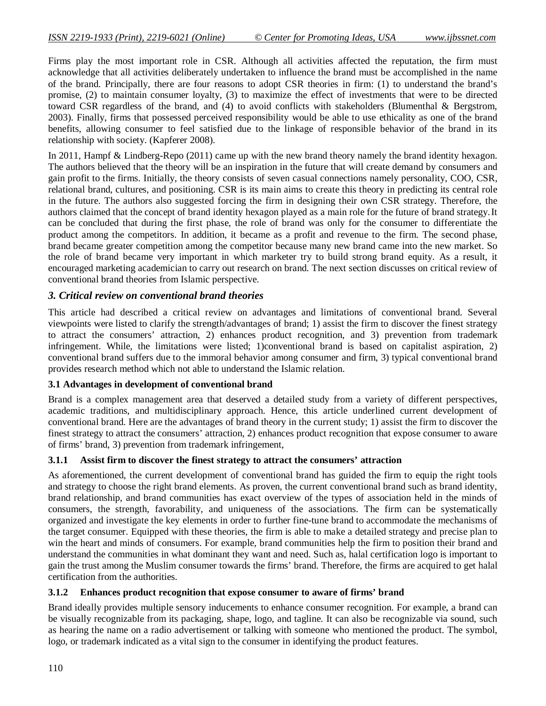Firms play the most important role in CSR. Although all activities affected the reputation, the firm must acknowledge that all activities deliberately undertaken to influence the brand must be accomplished in the name of the brand. Principally, there are four reasons to adopt CSR theories in firm: (1) to understand the brand's promise, (2) to maintain consumer loyalty, (3) to maximize the effect of investments that were to be directed toward CSR regardless of the brand, and (4) to avoid conflicts with stakeholders (Blumenthal & Bergstrom, 2003). Finally, firms that possessed perceived responsibility would be able to use ethicality as one of the brand benefits, allowing consumer to feel satisfied due to the linkage of responsible behavior of the brand in its relationship with society. (Kapferer 2008).

In 2011, Hampf & Lindberg-Repo (2011) came up with the new brand theory namely the brand identity hexagon. The authors believed that the theory will be an inspiration in the future that will create demand by consumers and gain profit to the firms. Initially, the theory consists of seven casual connections namely personality, COO, CSR, relational brand, cultures, and positioning. CSR is its main aims to create this theory in predicting its central role in the future. The authors also suggested forcing the firm in designing their own CSR strategy. Therefore, the authors claimed that the concept of brand identity hexagon played as a main role for the future of brand strategy.It can be concluded that during the first phase, the role of brand was only for the consumer to differentiate the product among the competitors. In addition, it became as a profit and revenue to the firm. The second phase, brand became greater competition among the competitor because many new brand came into the new market. So the role of brand became very important in which marketer try to build strong brand equity. As a result, it encouraged marketing academician to carry out research on brand. The next section discusses on critical review of conventional brand theories from Islamic perspective.

# *3. Critical review on conventional brand theories*

This article had described a critical review on advantages and limitations of conventional brand. Several viewpoints were listed to clarify the strength/advantages of brand; 1) assist the firm to discover the finest strategy to attract the consumers' attraction, 2) enhances product recognition, and 3) prevention from trademark infringement. While, the limitations were listed; 1)conventional brand is based on capitalist aspiration, 2) conventional brand suffers due to the immoral behavior among consumer and firm, 3) typical conventional brand provides research method which not able to understand the Islamic relation.

#### **3.1 Advantages in development of conventional brand**

Brand is a complex management area that deserved a detailed study from a variety of different perspectives, academic traditions, and multidisciplinary approach. Hence, this article underlined current development of conventional brand. Here are the advantages of brand theory in the current study; 1) assist the firm to discover the finest strategy to attract the consumers' attraction, 2) enhances product recognition that expose consumer to aware of firms' brand, 3) prevention from trademark infringement,

#### **3.1.1 Assist firm to discover the finest strategy to attract the consumers' attraction**

As aforementioned, the current development of conventional brand has guided the firm to equip the right tools and strategy to choose the right brand elements. As proven, the current conventional brand such as brand identity, brand relationship, and brand communities has exact overview of the types of association held in the minds of consumers, the strength, favorability, and uniqueness of the associations. The firm can be systematically organized and investigate the key elements in order to further fine-tune brand to accommodate the mechanisms of the target consumer. Equipped with these theories, the firm is able to make a detailed strategy and precise plan to win the heart and minds of consumers. For example, brand communities help the firm to position their brand and understand the communities in what dominant they want and need. Such as, halal certification logo is important to gain the trust among the Muslim consumer towards the firms' brand. Therefore, the firms are acquired to get halal certification from the authorities.

#### **3.1.2 Enhances product recognition that expose consumer to aware of firms' brand**

Brand ideally provides multiple sensory inducements to enhance consumer recognition. For example, a brand can be visually recognizable from its packaging, shape, logo, and tagline. It can also be recognizable via sound, such as hearing the name on a radio advertisement or talking with someone who mentioned the product. The symbol, logo, or trademark indicated as a vital sign to the consumer in identifying the product features.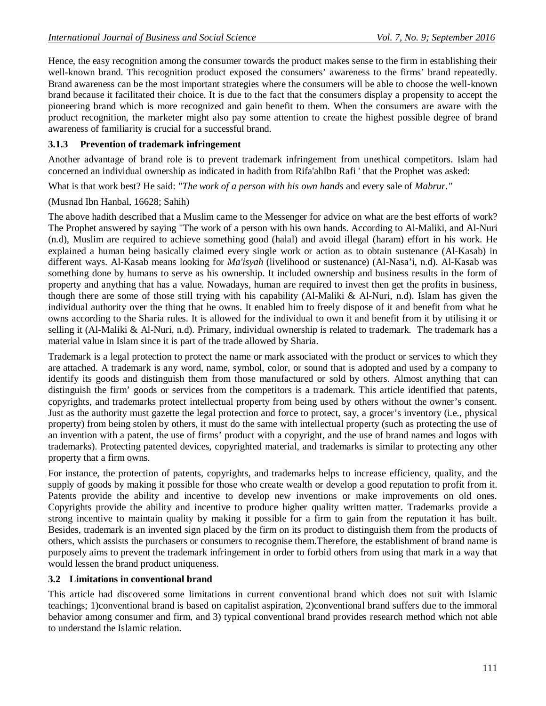Hence, the easy recognition among the consumer towards the product makes sense to the firm in establishing their well-known brand. This recognition product exposed the consumers' awareness to the firms' brand repeatedly. Brand awareness can be the most important strategies where the consumers will be able to choose the well-known brand because it facilitated their choice. It is due to the fact that the consumers display a propensity to accept the pioneering brand which is more recognized and gain benefit to them. When the consumers are aware with the product recognition, the marketer might also pay some attention to create the highest possible degree of brand awareness of familiarity is crucial for a successful brand.

# **3.1.3 Prevention of trademark infringement**

Another advantage of brand role is to prevent trademark infringement from unethical competitors. Islam had concerned an individual ownership as indicated in hadith from Rifa'ahIbn Rafi ' that the Prophet was asked:

What is that work best? He said: *"The work of a person with his own hands* and every sale of *Mabrur."*

(Musnad Ibn Hanbal, 16628; Sahih)

The above hadith described that a Muslim came to the Messenger for advice on what are the best efforts of work? The Prophet answered by saying "The work of a person with his own hands. According to Al-Maliki, and Al-Nuri (n.d), Muslim are required to achieve something good (halal) and avoid illegal (haram) effort in his work. He explained a human being basically claimed every single work or action as to obtain sustenance (Al-Kasab) in different ways. Al-Kasab means looking for *Ma'isyah* (livelihood or sustenance) (Al-Nasa'i, n.d). Al-Kasab was something done by humans to serve as his ownership. It included ownership and business results in the form of property and anything that has a value. Nowadays, human are required to invest then get the profits in business, though there are some of those still trying with his capability (Al-Maliki & Al-Nuri, n.d). Islam has given the individual authority over the thing that he owns. It enabled him to freely dispose of it and benefit from what he owns according to the Sharia rules. It is allowed for the individual to own it and benefit from it by utilising it or selling it (Al-Maliki & Al-Nuri, n.d). Primary, individual ownership is related to trademark. The trademark has a material value in Islam since it is part of the trade allowed by Sharia.

Trademark is a legal protection to protect the name or mark associated with the product or services to which they are attached. A trademark is any word, name, symbol, color, or sound that is adopted and used by a company to identify its goods and distinguish them from those manufactured or sold by others. Almost anything that can distinguish the firm' goods or services from the competitors is a trademark. This article identified that patents, copyrights, and trademarks protect intellectual property from being used by others without the owner's consent. Just as the authority must gazette the legal protection and force to protect, say, a grocer's inventory (i.e., physical property) from being stolen by others, it must do the same with intellectual property (such as protecting the use of an invention with a patent, the use of firms' product with a copyright, and the use of brand names and logos with trademarks). Protecting patented devices, copyrighted material, and trademarks is similar to protecting any other property that a firm owns.

For instance, the protection of patents, copyrights, and trademarks helps to increase efficiency, quality, and the supply of goods by making it possible for those who create wealth or develop a good reputation to profit from it. Patents provide the ability and incentive to develop new inventions or make improvements on old ones. Copyrights provide the ability and incentive to produce higher quality written matter. Trademarks provide a strong incentive to maintain quality by making it possible for a firm to gain from the reputation it has built. Besides, trademark is an invented sign placed by the firm on its product to distinguish them from the products of others, which assists the purchasers or consumers to recognise them.Therefore, the establishment of brand name is purposely aims to prevent the trademark infringement in order to forbid others from using that mark in a way that would lessen the brand product uniqueness.

# **3.2 Limitations in conventional brand**

This article had discovered some limitations in current conventional brand which does not suit with Islamic teachings; 1)conventional brand is based on capitalist aspiration, 2)conventional brand suffers due to the immoral behavior among consumer and firm, and 3) typical conventional brand provides research method which not able to understand the Islamic relation.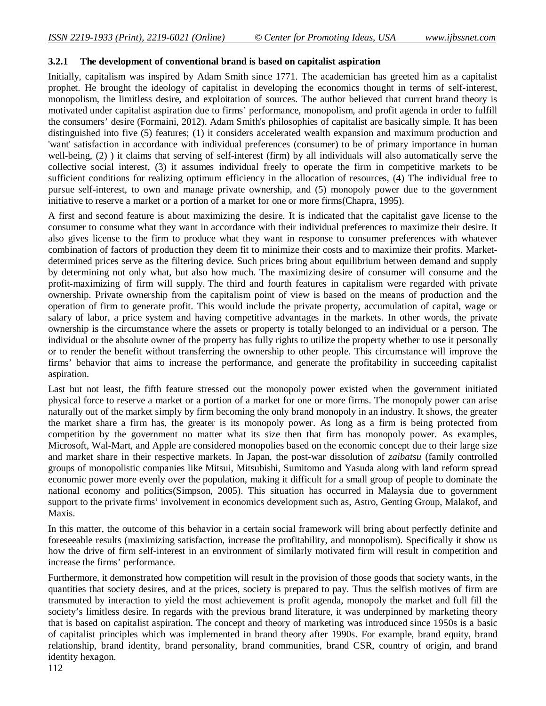# **3.2.1 The development of conventional brand is based on capitalist aspiration**

Initially, capitalism was inspired by Adam Smith since 1771. The academician has greeted him as a capitalist prophet. He brought the ideology of capitalist in developing the economics thought in terms of self-interest, monopolism, the limitless desire, and exploitation of sources. The author believed that current brand theory is motivated under capitalist aspiration due to firms' performance, monopolism, and profit agenda in order to fulfill the consumers' desire (Formaini, 2012). Adam Smith's philosophies of capitalist are basically simple. It has been distinguished into five (5) features; (1) it considers accelerated wealth expansion and maximum production and 'want' satisfaction in accordance with individual preferences (consumer) to be of primary importance in human well-being, (2) ) it claims that serving of self-interest (firm) by all individuals will also automatically serve the collective social interest, (3) it assumes individual freely to operate the firm in competitive markets to be sufficient conditions for realizing optimum efficiency in the allocation of resources, (4) The individual free to pursue self-interest, to own and manage private ownership, and (5) monopoly power due to the government initiative to reserve a market or a portion of a market for one or more firms(Chapra, 1995).

A first and second feature is about maximizing the desire. It is indicated that the capitalist gave license to the consumer to consume what they want in accordance with their individual preferences to maximize their desire. It also gives license to the firm to produce what they want in response to consumer preferences with whatever combination of factors of production they deem fit to minimize their costs and to maximize their profits. Marketdetermined prices serve as the filtering device. Such prices bring about equilibrium between demand and supply by determining not only what, but also how much. The maximizing desire of consumer will consume and the profit-maximizing of firm will supply. The third and fourth features in capitalism were regarded with private ownership. Private ownership from the capitalism point of view is based on the means of production and the operation of firm to generate profit. This would include the private property, accumulation of capital, wage or salary of labor, a price system and having competitive advantages in the markets. In other words, the private ownership is the circumstance where the assets or property is totally belonged to an individual or a person. The individual or the absolute owner of the property has fully rights to utilize the property whether to use it personally or to render the benefit without transferring the ownership to other people. This circumstance will improve the firms' behavior that aims to increase the performance, and generate the profitability in succeeding capitalist aspiration.

Last but not least, the fifth feature stressed out the monopoly power existed when the government initiated physical force to reserve a market or a portion of a market for one or more firms. The monopoly power can arise naturally out of the market simply by firm becoming the only brand monopoly in an industry. It shows, the greater the market share a firm has, the greater is its monopoly power. As long as a firm is being protected from competition by the government no matter what its size then that firm has monopoly power. As examples, Microsoft, Wal-Mart, and Apple are considered monopolies based on the economic concept due to their large size and market share in their respective markets. In Japan, the post-war dissolution of *zaibatsu* (family controlled groups of monopolistic companies like Mitsui, Mitsubishi, Sumitomo and Yasuda along with land reform spread economic power more evenly over the population, making it difficult for a small group of people to dominate the national economy and politics(Simpson, 2005). This situation has occurred in Malaysia due to government support to the private firms' involvement in economics development such as, Astro, Genting Group, Malakof, and Maxis.

In this matter, the outcome of this behavior in a certain social framework will bring about perfectly definite and foreseeable results (maximizing satisfaction, increase the profitability, and monopolism). Specifically it show us how the drive of firm self-interest in an environment of similarly motivated firm will result in competition and increase the firms' performance.

Furthermore, it demonstrated how competition will result in the provision of those goods that society wants, in the quantities that society desires, and at the prices, society is prepared to pay. Thus the selfish motives of firm are transmuted by interaction to yield the most achievement is profit agenda, monopoly the market and full fill the society's limitless desire. In regards with the previous brand literature, it was underpinned by marketing theory that is based on capitalist aspiration. The concept and theory of marketing was introduced since 1950s is a basic of capitalist principles which was implemented in brand theory after 1990s. For example, brand equity, brand relationship, brand identity, brand personality, brand communities, brand CSR, country of origin, and brand identity hexagon.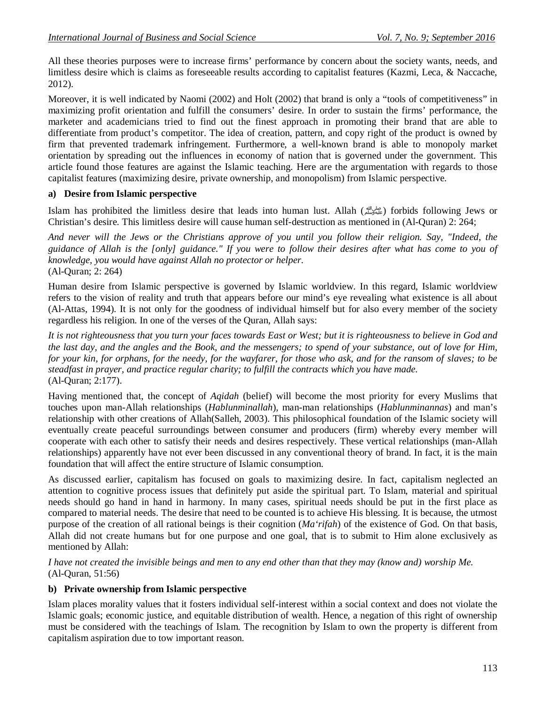All these theories purposes were to increase firms' performance by concern about the society wants, needs, and limitless desire which is claims as foreseeable results according to capitalist features (Kazmi, Leca, & Naccache, 2012).

Moreover, it is well indicated by Naomi (2002) and Holt (2002) that brand is only a "tools of competitiveness" in maximizing profit orientation and fulfill the consumers' desire. In order to sustain the firms' performance, the marketer and academicians tried to find out the finest approach in promoting their brand that are able to differentiate from product's competitor. The idea of creation, pattern, and copy right of the product is owned by firm that prevented trademark infringement. Furthermore, a well-known brand is able to monopoly market orientation by spreading out the influences in economy of nation that is governed under the government. This article found those features are against the Islamic teaching. Here are the argumentation with regards to those capitalist features (maximizing desire, private ownership, and monopolism) from Islamic perspective.

# **a) Desire from Islamic perspective**

Islam has prohibited the limitless desire that leads into human lust. Allah (صلى الله عليه وسلم (forbids following Jews or Christian's desire. This limitless desire will cause human self-destruction as mentioned in (Al-Quran) 2: 264;

*And never will the Jews or the Christians approve of you until you follow their religion. Say, "Indeed, the guidance of Allah is the [only] guidance." If you were to follow their desires after what has come to you of knowledge, you would have against Allah no protector or helper.* (Al-Quran; 2: 264)

Human desire from Islamic perspective is governed by Islamic worldview. In this regard, Islamic worldview refers to the vision of reality and truth that appears before our mind's eye revealing what existence is all about (Al-Attas, 1994). It is not only for the goodness of individual himself but for also every member of the society regardless his religion. In one of the verses of the Quran, Allah says:

*It is not righteousness that you turn your faces towards East or West; but it is righteousness to believe in God and the last day, and the angles and the Book, and the messengers; to spend of your substance, out of love for Him, for your kin, for orphans, for the needy, for the wayfarer, for those who ask, and for the ransom of slaves; to be steadfast in prayer, and practice regular charity; to fulfill the contracts which you have made.* (Al-Quran; 2:177).

Having mentioned that, the concept of *Aqidah* (belief) will become the most priority for every Muslims that touches upon man-Allah relationships (*Hablunminallah*), man-man relationships (*Hablunminannas*) and man's relationship with other creations of Allah(Salleh, 2003). This philosophical foundation of the Islamic society will eventually create peaceful surroundings between consumer and producers (firm) whereby every member will cooperate with each other to satisfy their needs and desires respectively. These vertical relationships (man-Allah relationships) apparently have not ever been discussed in any conventional theory of brand. In fact, it is the main foundation that will affect the entire structure of Islamic consumption.

As discussed earlier, capitalism has focused on goals to maximizing desire. In fact, capitalism neglected an attention to cognitive process issues that definitely put aside the spiritual part. To Islam, material and spiritual needs should go hand in hand in harmony. In many cases, spiritual needs should be put in the first place as compared to material needs. The desire that need to be counted is to achieve His blessing. It is because, the utmost purpose of the creation of all rational beings is their cognition (*Ma'rifah*) of the existence of God. On that basis, Allah did not create humans but for one purpose and one goal, that is to submit to Him alone exclusively as mentioned by Allah:

*I have not created the invisible beings and men to any end other than that they may (know and) worship Me.* (Al-Quran, 51:56)

# **b) Private ownership from Islamic perspective**

Islam places morality values that it fosters individual self-interest within a social context and does not violate the Islamic goals; economic justice, and equitable distribution of wealth. Hence, a negation of this right of ownership must be considered with the teachings of Islam. The recognition by Islam to own the property is different from capitalism aspiration due to tow important reason.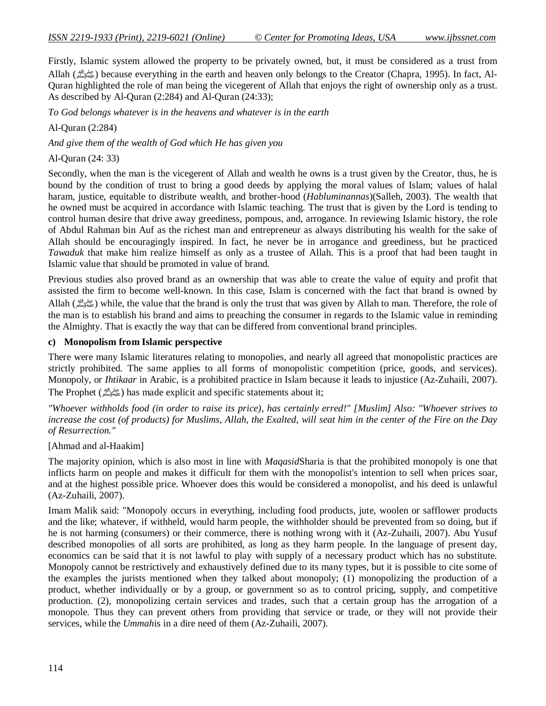Firstly, Islamic system allowed the property to be privately owned, but, it must be considered as a trust from Allah (صلى الله) because everything in the earth and heaven only belongs to the Creator (Chapra, 1995). In fact, Al-Quran highlighted the role of man being the vicegerent of Allah that enjoys the right of ownership only as a trust. As described by Al-Quran (2:284) and Al-Quran (24:33);

*To God belongs whatever is in the heavens and whatever is in the earth*

# Al-Quran (2:284)

*And give them of the wealth of God which He has given you*

Al-Quran (24: 33)

Secondly, when the man is the vicegerent of Allah and wealth he owns is a trust given by the Creator, thus, he is bound by the condition of trust to bring a good deeds by applying the moral values of Islam; values of halal haram, justice, equitable to distribute wealth, and brother-hood (*Habluminannas*)(Salleh, 2003). The wealth that he owned must be acquired in accordance with Islamic teaching. The trust that is given by the Lord is tending to control human desire that drive away greediness, pompous, and, arrogance. In reviewing Islamic history, the role of Abdul Rahman bin Auf as the richest man and entrepreneur as always distributing his wealth for the sake of Allah should be encouragingly inspired. In fact, he never be in arrogance and greediness, but he practiced *Tawaduk* that make him realize himself as only as a trustee of Allah. This is a proof that had been taught in Islamic value that should be promoted in value of brand.

Previous studies also proved brand as an ownership that was able to create the value of equity and profit that assisted the firm to become well-known. In this case, Islam is concerned with the fact that brand is owned by Allah (صلى الله عليه وسلم (while, the value that the brand is only the trust that was given by Allah to man. Therefore, the role of the man is to establish his brand and aims to preaching the consumer in regards to the Islamic value in reminding the Almighty. That is exactly the way that can be differed from conventional brand principles.

## **c) Monopolism from Islamic perspective**

There were many Islamic literatures relating to monopolies, and nearly all agreed that monopolistic practices are strictly prohibited. The same applies to all forms of monopolistic competition (price, goods, and services). Monopoly, or *Ihtikaar* in Arabic, is a prohibited practice in Islam because it leads to injustice (Az-Zuhaili, 2007). The Prophet (صلى الله) has made explicit and specific statements about it;

*"Whoever withholds food (in order to raise its price), has certainly erred!" [Muslim] Also: "Whoever strives to increase the cost (of products) for Muslims, Allah, the Exalted, will seat him in the center of the Fire on the Day of Resurrection."*

# [Ahmad and al-Haakim]

The majority opinion, which is also most in line with *Maqasid*Sharia is that the prohibited monopoly is one that inflicts harm on people and makes it difficult for them with the monopolist's intention to sell when prices soar, and at the highest possible price. Whoever does this would be considered a monopolist, and his deed is unlawful (Az-Zuhaili, 2007).

Imam Malik said: "Monopoly occurs in everything, including food products, jute, woolen or safflower products and the like; whatever, if withheld, would harm people, the withholder should be prevented from so doing, but if he is not harming (consumers) or their commerce, there is nothing wrong with it (Az-Zuhaili, 2007). Abu Yusuf described monopolies of all sorts are prohibited, as long as they harm people. In the language of present day, economics can be said that it is not lawful to play with supply of a necessary product which has no substitute. Monopoly cannot be restrictively and exhaustively defined due to its many types, but it is possible to cite some of the examples the jurists mentioned when they talked about monopoly; (1) monopolizing the production of a product, whether individually or by a group, or government so as to control pricing, supply, and competitive production. (2), monopolizing certain services and trades, such that a certain group has the arrogation of a monopole. Thus they can prevent others from providing that service or trade, or they will not provide their services, while the *Ummah*is in a dire need of them (Az-Zuhaili, 2007).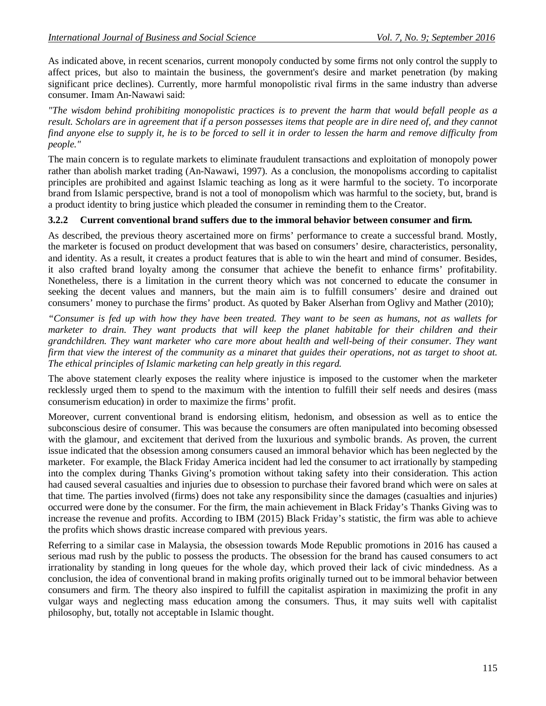As indicated above, in recent scenarios, current monopoly conducted by some firms not only control the supply to affect prices, but also to maintain the business, the government's desire and market penetration (by making significant price declines). Currently, more harmful monopolistic rival firms in the same industry than adverse consumer. Imam An-Nawawi said:

*"The wisdom behind prohibiting monopolistic practices is to prevent the harm that would befall people as a result. Scholars are in agreement that if a person possesses items that people are in dire need of, and they cannot find anyone else to supply it, he is to be forced to sell it in order to lessen the harm and remove difficulty from people."*

The main concern is to regulate markets to eliminate fraudulent transactions and exploitation of monopoly power rather than abolish market trading (An-Nawawi, 1997). As a conclusion, the monopolisms according to capitalist principles are prohibited and against Islamic teaching as long as it were harmful to the society. To incorporate brand from Islamic perspective, brand is not a tool of monopolism which was harmful to the society, but, brand is a product identity to bring justice which pleaded the consumer in reminding them to the Creator.

## **3.2.2 Current conventional brand suffers due to the immoral behavior between consumer and firm.**

As described, the previous theory ascertained more on firms' performance to create a successful brand. Mostly, the marketer is focused on product development that was based on consumers' desire, characteristics, personality, and identity. As a result, it creates a product features that is able to win the heart and mind of consumer. Besides, it also crafted brand loyalty among the consumer that achieve the benefit to enhance firms' profitability. Nonetheless, there is a limitation in the current theory which was not concerned to educate the consumer in seeking the decent values and manners, but the main aim is to fulfill consumers' desire and drained out consumers' money to purchase the firms' product. As quoted by Baker Alserhan from Oglivy and Mather (2010);

*"Consumer is fed up with how they have been treated. They want to be seen as humans, not as wallets for marketer to drain. They want products that will keep the planet habitable for their children and their grandchildren. They want marketer who care more about health and well-being of their consumer. They want firm that view the interest of the community as a minaret that guides their operations, not as target to shoot at. The ethical principles of Islamic marketing can help greatly in this regard.*

The above statement clearly exposes the reality where injustice is imposed to the customer when the marketer recklessly urged them to spend to the maximum with the intention to fulfill their self needs and desires (mass consumerism education) in order to maximize the firms' profit.

Moreover, current conventional brand is endorsing elitism, hedonism, and obsession as well as to entice the subconscious desire of consumer. This was because the consumers are often manipulated into becoming obsessed with the glamour, and excitement that derived from the luxurious and symbolic brands. As proven, the current issue indicated that the obsession among consumers caused an immoral behavior which has been neglected by the marketer. For example, the Black Friday America incident had led the consumer to act irrationally by stampeding into the complex during Thanks Giving's promotion without taking safety into their consideration. This action had caused several casualties and injuries due to obsession to purchase their favored brand which were on sales at that time. The parties involved (firms) does not take any responsibility since the damages (casualties and injuries) occurred were done by the consumer. For the firm, the main achievement in Black Friday's Thanks Giving was to increase the revenue and profits. According to IBM (2015) Black Friday's statistic, the firm was able to achieve the profits which shows drastic increase compared with previous years.

Referring to a similar case in Malaysia, the obsession towards Mode Republic promotions in 2016 has caused a serious mad rush by the public to possess the products. The obsession for the brand has caused consumers to act irrationality by standing in long queues for the whole day, which proved their lack of civic mindedness. As a conclusion, the idea of conventional brand in making profits originally turned out to be immoral behavior between consumers and firm. The theory also inspired to fulfill the capitalist aspiration in maximizing the profit in any vulgar ways and neglecting mass education among the consumers. Thus, it may suits well with capitalist philosophy, but, totally not acceptable in Islamic thought.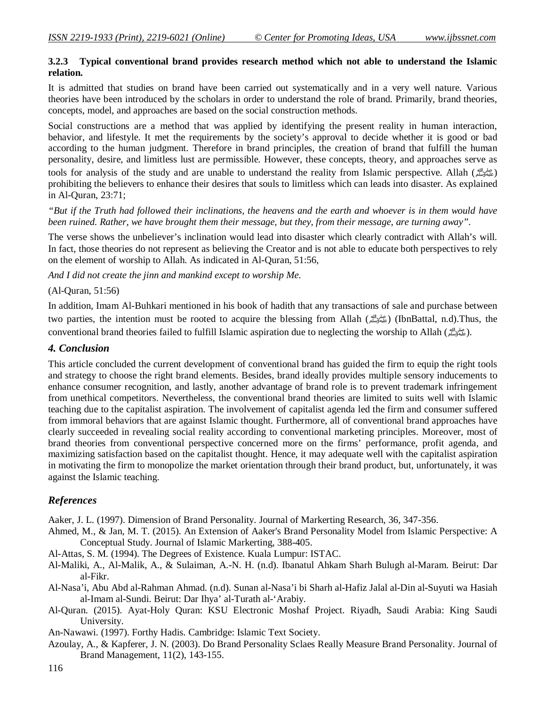## **3.2.3 Typical conventional brand provides research method which not able to understand the Islamic relation.**

It is admitted that studies on brand have been carried out systematically and in a very well nature. Various theories have been introduced by the scholars in order to understand the role of brand. Primarily, brand theories, concepts, model, and approaches are based on the social construction methods.

Social constructions are a method that was applied by identifying the present reality in human interaction, behavior, and lifestyle. It met the requirements by the society's approval to decide whether it is good or bad according to the human judgment. Therefore in brand principles, the creation of brand that fulfill the human personality, desire, and limitless lust are permissible. However, these concepts, theory, and approaches serve as tools for analysis of the study and are unable to understand the reality from Islamic perspective. Allah (صلى الله ) prohibiting the believers to enhance their desires that souls to limitless which can leads into disaster. As explained in Al-Quran, 23:71;

*"But if the Truth had followed their inclinations, the heavens and the earth and whoever is in them would have been ruined. Rather, we have brought them their message, but they, from their message, are turning away".*

The verse shows the unbeliever's inclination would lead into disaster which clearly contradict with Allah's will. In fact, those theories do not represent as believing the Creator and is not able to educate both perspectives to rely on the element of worship to Allah. As indicated in Al-Quran, 51:56,

*And I did not create the jinn and mankind except to worship Me.*

#### (Al-Quran, 51:56)

In addition, Imam Al-Buhkari mentioned in his book of hadith that any transactions of sale and purchase between two parties, the intention must be rooted to acquire the blessing from Allah (صلى الله عليه وسلم) (IbnBattal, n.d).Thus, the conventional brand theories failed to fulfill Islamic aspiration due to neglecting the worship to Allah (صلى الله عليه وسلم(.

#### *4. Conclusion*

This article concluded the current development of conventional brand has guided the firm to equip the right tools and strategy to choose the right brand elements. Besides, brand ideally provides multiple sensory inducements to enhance consumer recognition, and lastly, another advantage of brand role is to prevent trademark infringement from unethical competitors. Nevertheless, the conventional brand theories are limited to suits well with Islamic teaching due to the capitalist aspiration. The involvement of capitalist agenda led the firm and consumer suffered from immoral behaviors that are against Islamic thought. Furthermore, all of conventional brand approaches have clearly succeeded in revealing social reality according to conventional marketing principles. Moreover, most of brand theories from conventional perspective concerned more on the firms' performance, profit agenda, and maximizing satisfaction based on the capitalist thought. Hence, it may adequate well with the capitalist aspiration in motivating the firm to monopolize the market orientation through their brand product, but, unfortunately, it was against the Islamic teaching.

#### *References*

Aaker, J. L. (1997). Dimension of Brand Personality. Journal of Markerting Research, 36, 347-356.

- Ahmed, M., & Jan, M. T. (2015). An Extension of Aaker's Brand Personality Model from Islamic Perspective: A Conceptual Study. Journal of Islamic Markerting, 388-405.
- Al-Attas, S. M. (1994). The Degrees of Existence. Kuala Lumpur: ISTAC.
- Al-Maliki, A., Al-Malik, A., & Sulaiman, A.-N. H. (n.d). Ibanatul Ahkam Sharh Bulugh al-Maram. Beirut: Dar al-Fikr.
- Al-Nasa'i, Abu Abd al-Rahman Ahmad. (n.d). Sunan al-Nasa'i bi Sharh al-Hafiz Jalal al-Din al-Suyuti wa Hasiah al-Imam al-Sundi. Beirut: Dar Ihya' al-Turath al-'Arabiy.
- Al-Quran. (2015). Ayat-Holy Quran: KSU Electronic Moshaf Project. Riyadh, Saudi Arabia: King Saudi University.
- An-Nawawi. (1997). Forthy Hadis. Cambridge: Islamic Text Society.
- Azoulay, A., & Kapferer, J. N. (2003). Do Brand Personality Sclaes Really Measure Brand Personality. Journal of Brand Management, 11(2), 143-155.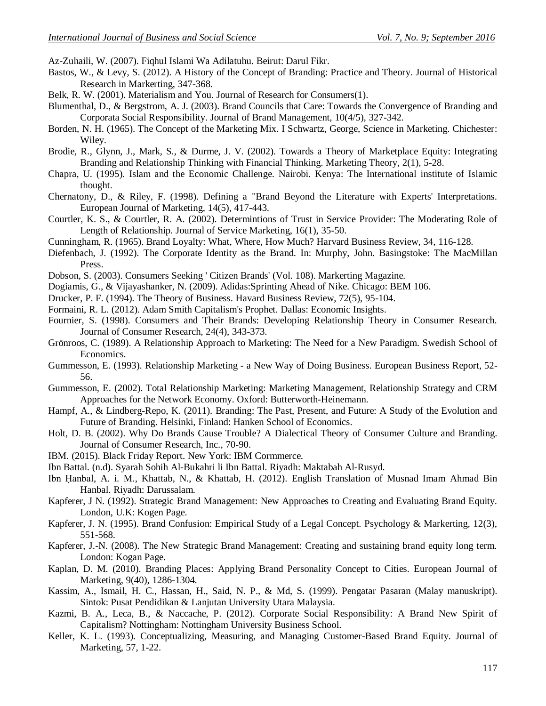Az-Zuhaili, W. (2007). Fiqhul Islami Wa Adilatuhu. Beirut: Darul Fikr.

- Bastos, W., & Levy, S. (2012). A History of the Concept of Branding: Practice and Theory. Journal of Historical Research in Markerting, 347-368.
- Belk, R. W. (2001). Materialism and You. Journal of Research for Consumers(1).
- Blumenthal, D., & Bergstrom, A. J. (2003). Brand Councils that Care: Towards the Convergence of Branding and Corporata Social Responsibility. Journal of Brand Management, 10(4/5), 327-342.
- Borden, N. H. (1965). The Concept of the Marketing Mix. I Schwartz, George, Science in Marketing. Chichester: Wiley.
- Brodie, R., Glynn, J., Mark, S., & Durme, J. V. (2002). Towards a Theory of Marketplace Equity: Integrating Branding and Relationship Thinking with Financial Thinking. Marketing Theory, 2(1), 5-28.
- Chapra, U. (1995). Islam and the Economic Challenge. Nairobi. Kenya: The International institute of Islamic thought.
- Chernatony, D., & Riley, F. (1998). Defining a "Brand Beyond the Literature with Experts' Interpretations. European Journal of Marketing, 14(5), 417-443.
- Courtler, K. S., & Courtler, R. A. (2002). Determintions of Trust in Service Provider: The Moderating Role of Length of Relationship. Journal of Service Marketing, 16(1), 35-50.
- Cunningham, R. (1965). Brand Loyalty: What, Where, How Much? Harvard Business Review, 34, 116-128.
- Diefenbach, J. (1992). The Corporate Identity as the Brand. In: Murphy, John. Basingstoke: The MacMillan Press.
- Dobson, S. (2003). Consumers Seeking ' Citizen Brands' (Vol. 108). Markerting Magazine.
- Dogiamis, G., & Vijayashanker, N. (2009). Adidas:Sprinting Ahead of Nike. Chicago: BEM 106.
- Drucker, P. F. (1994). The Theory of Business. Havard Business Review, 72(5), 95-104.
- Formaini, R. L. (2012). Adam Smith Capitalism's Prophet. Dallas: Economic Insights.
- Fournier, S. (1998). Consumers and Their Brands: Developing Relationship Theory in Consumer Research. Journal of Consumer Research, 24(4), 343-373.
- Grönroos, C. (1989). A Relationship Approach to Marketing: The Need for a New Paradigm. Swedish School of Economics.
- Gummesson, E. (1993). Relationship Marketing a New Way of Doing Business. European Business Report, 52- 56.
- Gummesson, E. (2002). Total Relationship Marketing: Marketing Management, Relationship Strategy and CRM Approaches for the Network Economy. Oxford: Butterworth-Heinemann.
- Hampf, A., & Lindberg-Repo, K. (2011). Branding: The Past, Present, and Future: A Study of the Evolution and Future of Branding. Helsinki, Finland: Hanken School of Economics.
- Holt, D. B. (2002). Why Do Brands Cause Trouble? A Dialectical Theory of Consumer Culture and Branding. Journal of Consumer Research, Inc., 70-90.
- IBM. (2015). Black Friday Report. New York: IBM Cormmerce.
- Ibn Battal. (n.d). Syarah Sohih Al-Bukahri li Ibn Battal. Riyadh: Maktabah Al-Rusyd.
- Ibn Ḥanbal, A. i. M., Khattab, N., & Khattab, H. (2012). English Translation of Musnad Imam Ahmad Bin Hanbal. Riyadh: Darussalam.
- Kapferer, J N. (1992). Strategic Brand Management: New Approaches to Creating and Evaluating Brand Equity. London, U.K: Kogen Page.
- Kapferer, J. N. (1995). Brand Confusion: Empirical Study of a Legal Concept. Psychology & Markerting, 12(3), 551-568.
- Kapferer, J.-N. (2008). The New Strategic Brand Management: Creating and sustaining brand equity long term. London: Kogan Page.
- Kaplan, D. M. (2010). Branding Places: Applying Brand Personality Concept to Cities. European Journal of Marketing, 9(40), 1286-1304.
- Kassim, A., Ismail, H. C., Hassan, H., Said, N. P., & Md, S. (1999). Pengatar Pasaran (Malay manuskript). Sintok: Pusat Pendidikan & Lanjutan University Utara Malaysia.
- Kazmi, B. A., Leca, B., & Naccache, P. (2012). Corporate Social Responsibility: A Brand New Spirit of Capitalism? Nottingham: Nottingham University Business School.
- Keller, K. L. (1993). Conceptualizing, Measuring, and Managing Customer-Based Brand Equity. Journal of Marketing, 57, 1-22.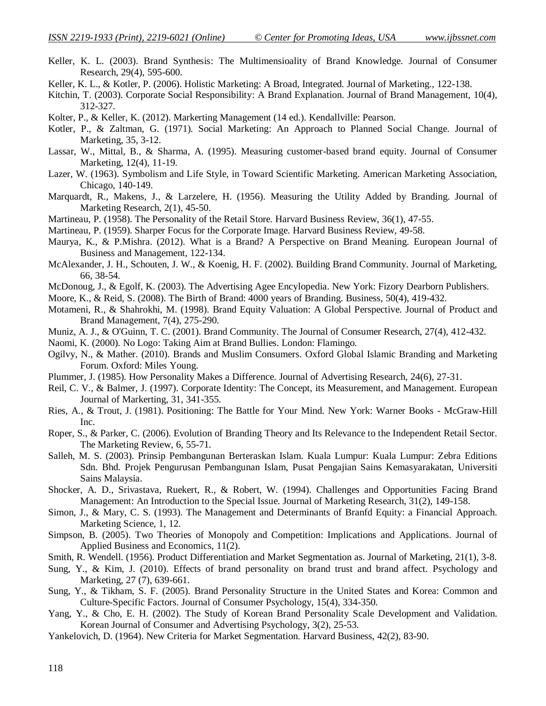- Keller, K. L. (2003). Brand Synthesis: The Multimensioality of Brand Knowledge. Journal of Consumer Research, 29(4), 595-600.
- Keller, K. L., & Kotler, P. (2006). Holistic Marketing: A Broad, Integrated. Journal of Marketing., 122-138.
- Kitchin, T. (2003). Corporate Social Responsibility: A Brand Explanation. Journal of Brand Management, 10(4), 312-327.
- Kolter, P., & Keller, K. (2012). Markerting Management (14 ed.). Kendallville: Pearson.
- Kotler, P., & Zaltman, G. (1971). Social Marketing: An Approach to Planned Social Change. Journal of Marketing, 35, 3-12.
- Lassar, W., Mittal, B., & Sharma, A. (1995). Measuring customer-based brand equity. Journal of Consumer Marketing, 12(4), 11-19.
- Lazer, W. (1963). Symbolism and Life Style, in Toward Scientific Marketing. American Marketing Association, Chicago, 140-149.
- Marquardt, R., Makens, J., & Larzelere, H. (1956). Measuring the Utility Added by Branding. Journal of Marketing Research, 2(1), 45-50.
- Martineau, P. (1958). The Personality of the Retail Store. Harvard Business Review, 36(1), 47-55.
- Martineau, P. (1959). Sharper Focus for the Corporate Image. Harvard Business Review, 49-58.
- Maurya, K., & P.Mishra. (2012). What is a Brand? A Perspective on Brand Meaning. European Journal of Business and Management, 122-134.
- McAlexander, J. H., Schouten, J. W., & Koenig, H. F. (2002). Building Brand Community. Journal of Marketing, 66, 38-54.
- McDonoug, J., & Egolf, K. (2003). The Advertising Agee Encylopedia. New York: Fizory Dearborn Publishers.
- Moore, K., & Reid, S. (2008). The Birth of Brand: 4000 years of Branding. Business, 50(4), 419-432.
- Motameni, R., & Shahrokhi, M. (1998). Brand Equity Valuation: A Global Perspective. Journal of Product and Brand Management, 7(4), 275-290.
- Muniz, A. J., & O'Guinn, T. C. (2001). Brand Community. The Journal of Consumer Research, 27(4), 412-432.
- Naomi, K. (2000). No Logo: Taking Aim at Brand Bullies. London: Flamingo.
- Ogilvy, N., & Mather. (2010). Brands and Muslim Consumers. Oxford Global Islamic Branding and Marketing Forum. Oxford: Miles Young.
- Plummer, J. (1985). How Personality Makes a Difference. Journal of Advertising Research, 24(6), 27-31.
- Reil, C. V., & Balmer, J. (1997). Corporate Identity: The Concept, its Measurement, and Management. European Journal of Markerting, 31, 341-355.
- Ries, A., & Trout, J. (1981). Positioning: The Battle for Your Mind. New York: Warner Books McGraw-Hill Inc.
- Roper, S., & Parker, C. (2006). Evolution of Branding Theory and Its Relevance to the Independent Retail Sector. The Marketing Review, 6, 55-71.
- Salleh, M. S. (2003). Prinsip Pembangunan Berteraskan Islam. Kuala Lumpur: Kuala Lumpur: Zebra Editions Sdn. Bhd. Projek Pengurusan Pembangunan Islam, Pusat Pengajian Sains Kemasyarakatan, Universiti Sains Malaysia.
- Shocker, A. D., Srivastava, Ruekert, R., & Robert, W. (1994). Challenges and Opportunities Facing Brand Management: An Introduction to the Special Issue. Journal of Marketing Research, 31(2), 149-158.
- Simon, J., & Mary, C. S. (1993). The Management and Determinants of Branfd Equity: a Financial Approach. Marketing Science, 1, 12.
- Simpson, B. (2005). Two Theories of Monopoly and Competition: Implications and Applications. Journal of Applied Business and Economics, 11(2).
- Smith, R. Wendell. (1956). Product Differentiation and Market Segmentation as. Journal of Marketing, 21(1), 3-8.
- Sung, Y., & Kim, J. (2010). Effects of brand personality on brand trust and brand affect. Psychology and Marketing, 27 (7), 639-661.
- Sung, Y., & Tikham, S. F. (2005). Brand Personality Structure in the United States and Korea: Common and Culture-Specific Factors. Journal of Consumer Psychology, 15(4), 334-350.
- Yang, Y., & Cho, E. H. (2002). The Study of Korean Brand Personality Scale Development and Validation. Korean Journal of Consumer and Advertising Psychology, 3(2), 25-53.
- Yankelovich, D. (1964). New Criteria for Market Segmentation. Harvard Business, 42(2), 83-90.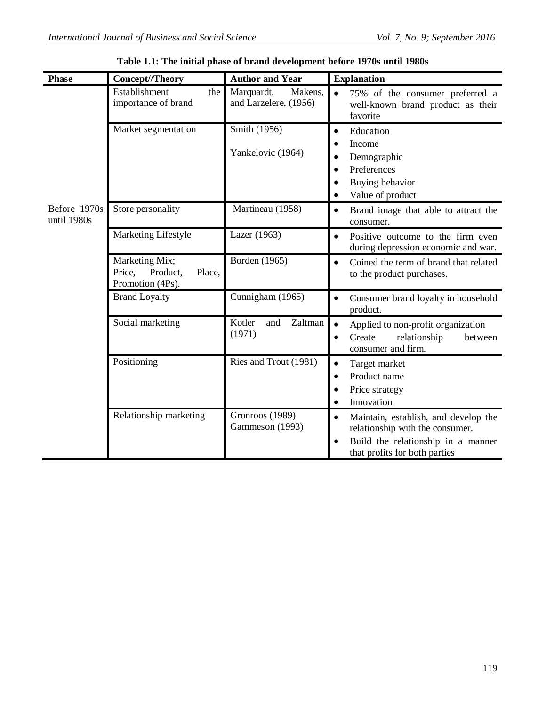| <b>Phase</b>                | Concept//Theory                                                    | <b>Author and Year</b>                         | <b>Explanation</b>                                                                                                                             |
|-----------------------------|--------------------------------------------------------------------|------------------------------------------------|------------------------------------------------------------------------------------------------------------------------------------------------|
| Before 1970s<br>until 1980s | Establishment<br>the<br>importance of brand                        | Marquardt,<br>Makens,<br>and Larzelere, (1956) | 75% of the consumer preferred a<br>well-known brand product as their<br>favorite                                                               |
|                             | Market segmentation                                                | Smith (1956)<br>Yankelovic (1964)              | Education<br>Income<br>Demographic<br>Preferences<br>Buying behavior<br>Value of product                                                       |
|                             | Store personality                                                  | Martineau (1958)                               | Brand image that able to attract the<br>consumer.                                                                                              |
|                             | Marketing Lifestyle                                                | Lazer (1963)                                   | Positive outcome to the firm even<br>during depression economic and war.                                                                       |
|                             | Marketing Mix;<br>Price,<br>Product,<br>Place,<br>Promotion (4Ps). | Borden (1965)                                  | Coined the term of brand that related<br>to the product purchases.                                                                             |
|                             | <b>Brand Loyalty</b>                                               | Cunnigham (1965)                               | Consumer brand loyalty in household<br>product.                                                                                                |
|                             | Social marketing                                                   | Kotler<br>Zaltman<br>and<br>(1971)             | Applied to non-profit organization<br>$\bullet$<br>Create<br>relationship<br>between<br>consumer and firm.                                     |
|                             | Positioning                                                        | Ries and Trout (1981)                          | Target market<br>Product name<br>Price strategy<br>Innovation                                                                                  |
|                             | Relationship marketing                                             | Gronroos (1989)<br>Gammeson (1993)             | Maintain, establish, and develop the<br>relationship with the consumer.<br>Build the relationship in a manner<br>that profits for both parties |

**Table 1.1: The initial phase of brand development before 1970s until 1980s**